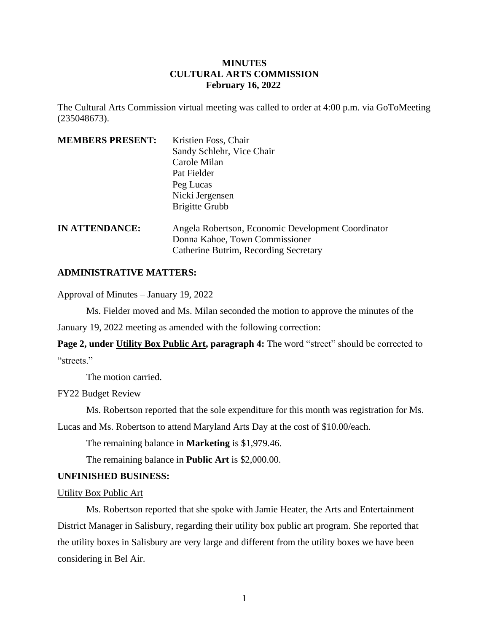# **MINUTES CULTURAL ARTS COMMISSION February 16, 2022**

The Cultural Arts Commission virtual meeting was called to order at 4:00 p.m. via GoToMeeting (235048673).

| <b>MEMBERS PRESENT:</b> | Kristien Foss, Chair                               |
|-------------------------|----------------------------------------------------|
|                         | Sandy Schlehr, Vice Chair                          |
|                         | Carole Milan                                       |
|                         | Pat Fielder                                        |
|                         | Peg Lucas                                          |
|                         | Nicki Jergensen                                    |
|                         | <b>Brigitte Grubb</b>                              |
| <b>IN ATTENDANCE:</b>   | Angela Robertson, Economic Development Coordinator |
|                         | Donna Kahoe, Town Commissioner                     |
|                         | Catherine Butrim, Recording Secretary              |

## **ADMINISTRATIVE MATTERS:**

Approval of Minutes – January 19, 2022

Ms. Fielder moved and Ms. Milan seconded the motion to approve the minutes of the

January 19, 2022 meeting as amended with the following correction:

**Page 2, under Utility Box Public Art, paragraph 4:** The word "street" should be corrected to "streets."

The motion carried.

FY22 Budget Review

Ms. Robertson reported that the sole expenditure for this month was registration for Ms.

Lucas and Ms. Robertson to attend Maryland Arts Day at the cost of \$10.00/each.

The remaining balance in **Marketing** is \$1,979.46.

The remaining balance in **Public Art** is \$2,000.00.

### **UNFINISHED BUSINESS:**

Utility Box Public Art

Ms. Robertson reported that she spoke with Jamie Heater, the Arts and Entertainment District Manager in Salisbury, regarding their utility box public art program. She reported that the utility boxes in Salisbury are very large and different from the utility boxes we have been considering in Bel Air.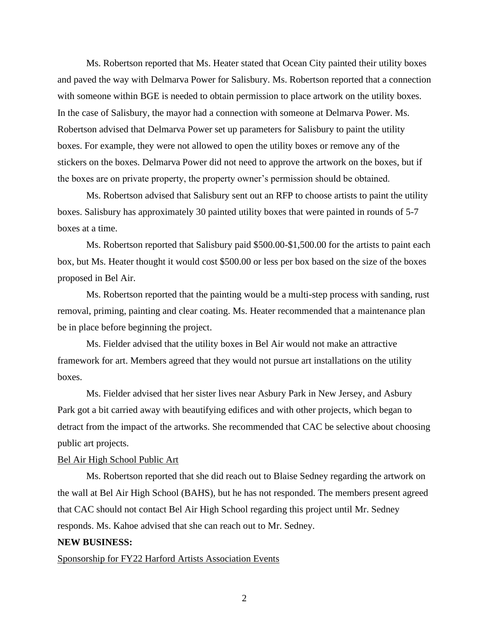Ms. Robertson reported that Ms. Heater stated that Ocean City painted their utility boxes and paved the way with Delmarva Power for Salisbury. Ms. Robertson reported that a connection with someone within BGE is needed to obtain permission to place artwork on the utility boxes. In the case of Salisbury, the mayor had a connection with someone at Delmarva Power. Ms. Robertson advised that Delmarva Power set up parameters for Salisbury to paint the utility boxes. For example, they were not allowed to open the utility boxes or remove any of the stickers on the boxes. Delmarva Power did not need to approve the artwork on the boxes, but if the boxes are on private property, the property owner's permission should be obtained.

Ms. Robertson advised that Salisbury sent out an RFP to choose artists to paint the utility boxes. Salisbury has approximately 30 painted utility boxes that were painted in rounds of 5-7 boxes at a time.

Ms. Robertson reported that Salisbury paid \$500.00-\$1,500.00 for the artists to paint each box, but Ms. Heater thought it would cost \$500.00 or less per box based on the size of the boxes proposed in Bel Air.

Ms. Robertson reported that the painting would be a multi-step process with sanding, rust removal, priming, painting and clear coating. Ms. Heater recommended that a maintenance plan be in place before beginning the project.

Ms. Fielder advised that the utility boxes in Bel Air would not make an attractive framework for art. Members agreed that they would not pursue art installations on the utility boxes.

Ms. Fielder advised that her sister lives near Asbury Park in New Jersey, and Asbury Park got a bit carried away with beautifying edifices and with other projects, which began to detract from the impact of the artworks. She recommended that CAC be selective about choosing public art projects.

#### Bel Air High School Public Art

Ms. Robertson reported that she did reach out to Blaise Sedney regarding the artwork on the wall at Bel Air High School (BAHS), but he has not responded. The members present agreed that CAC should not contact Bel Air High School regarding this project until Mr. Sedney responds. Ms. Kahoe advised that she can reach out to Mr. Sedney.

#### **NEW BUSINESS:**

### Sponsorship for FY22 Harford Artists Association Events

2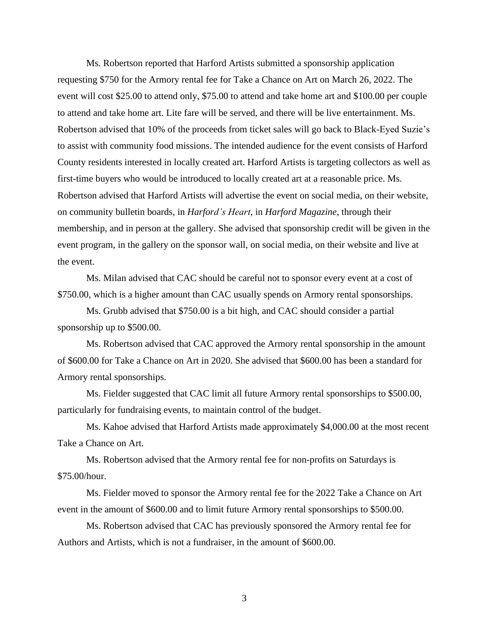Ms. Robertson reported that Harford Artists submitted a sponsorship application requesting \$750 for the Armory rental fee for Take a Chance on Art on March 26, 2022. The event will cost \$25.00 to attend only, \$75.00 to attend and take home art and \$100.00 per couple to attend and take home art. Lite fare will be served, and there will be live entertainment. Ms. Robertson advised that 10% of the proceeds from ticket sales will go back to Black-Eyed Suzie's to assist with community food missions. The intended audience for the event consists of Harford County residents interested in locally created art. Harford Artists is targeting collectors as well as first-time buyers who would be introduced to locally created art at a reasonable price. Ms. Robertson advised that Harford Artists will advertise the event on social media, on their website, on community bulletin boards, in *Harford's Heart*, in *Harford Magazine*, through their membership, and in person at the gallery. She advised that sponsorship credit will be given in the event program, in the gallery on the sponsor wall, on social media, on their website and live at the event.

Ms. Milan advised that CAC should be careful not to sponsor every event at a cost of \$750.00, which is a higher amount than CAC usually spends on Armory rental sponsorships.

Ms. Grubb advised that \$750.00 is a bit high, and CAC should consider a partial sponsorship up to \$500.00.

Ms. Robertson advised that CAC approved the Armory rental sponsorship in the amount of \$600.00 for Take a Chance on Art in 2020. She advised that \$600.00 has been a standard for Armory rental sponsorships.

Ms. Fielder suggested that CAC limit all future Armory rental sponsorships to \$500.00, particularly for fundraising events, to maintain control of the budget.

Ms. Kahoe advised that Harford Artists made approximately \$4,000.00 at the most recent Take a Chance on Art.

Ms. Robertson advised that the Armory rental fee for non-profits on Saturdays is \$75.00/hour.

Ms. Fielder moved to sponsor the Armory rental fee for the 2022 Take a Chance on Art event in the amount of \$600.00 and to limit future Armory rental sponsorships to \$500.00.

Ms. Robertson advised that CAC has previously sponsored the Armory rental fee for Authors and Artists, which is not a fundraiser, in the amount of \$600.00.

3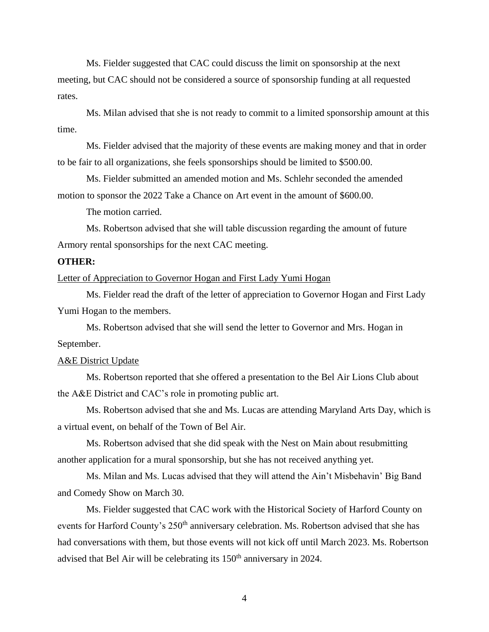Ms. Fielder suggested that CAC could discuss the limit on sponsorship at the next meeting, but CAC should not be considered a source of sponsorship funding at all requested rates.

Ms. Milan advised that she is not ready to commit to a limited sponsorship amount at this time.

Ms. Fielder advised that the majority of these events are making money and that in order to be fair to all organizations, she feels sponsorships should be limited to \$500.00.

Ms. Fielder submitted an amended motion and Ms. Schlehr seconded the amended motion to sponsor the 2022 Take a Chance on Art event in the amount of \$600.00.

The motion carried.

Ms. Robertson advised that she will table discussion regarding the amount of future Armory rental sponsorships for the next CAC meeting.

## **OTHER:**

Letter of Appreciation to Governor Hogan and First Lady Yumi Hogan

Ms. Fielder read the draft of the letter of appreciation to Governor Hogan and First Lady Yumi Hogan to the members.

Ms. Robertson advised that she will send the letter to Governor and Mrs. Hogan in September.

### A&E District Update

Ms. Robertson reported that she offered a presentation to the Bel Air Lions Club about the A&E District and CAC's role in promoting public art.

Ms. Robertson advised that she and Ms. Lucas are attending Maryland Arts Day, which is a virtual event, on behalf of the Town of Bel Air.

Ms. Robertson advised that she did speak with the Nest on Main about resubmitting another application for a mural sponsorship, but she has not received anything yet.

Ms. Milan and Ms. Lucas advised that they will attend the Ain't Misbehavin' Big Band and Comedy Show on March 30.

Ms. Fielder suggested that CAC work with the Historical Society of Harford County on events for Harford County's 250<sup>th</sup> anniversary celebration. Ms. Robertson advised that she has had conversations with them, but those events will not kick off until March 2023. Ms. Robertson advised that Bel Air will be celebrating its 150th anniversary in 2024.

4